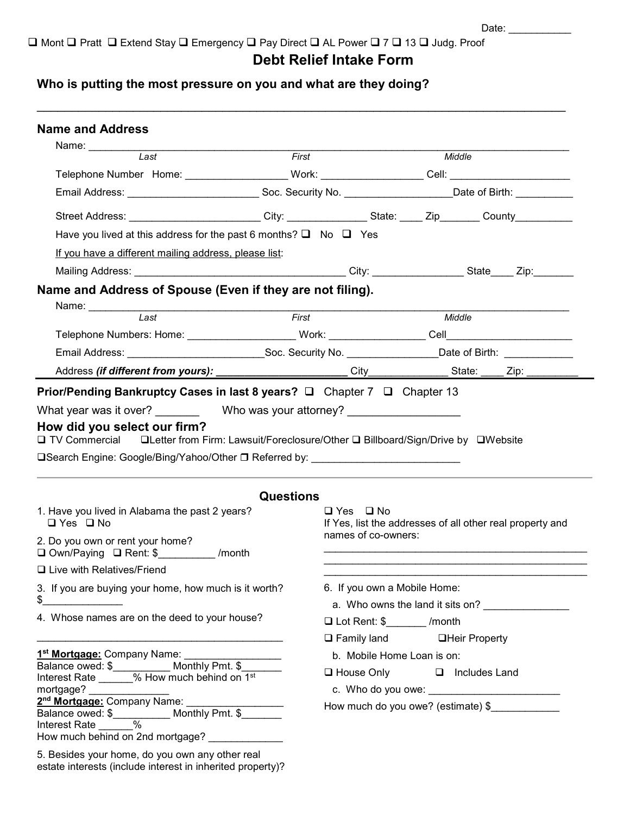## **Debt Relief Intake Form**

\_\_\_\_\_\_\_\_\_\_\_\_\_\_\_\_\_\_\_\_\_\_\_\_\_\_\_\_\_\_\_\_\_\_\_\_\_\_\_\_\_\_\_\_\_\_\_\_\_\_\_\_\_\_\_\_\_\_\_\_\_\_\_\_\_\_\_\_\_\_\_\_\_\_\_\_\_

## **Who is putting the most pressure on you and what are they doing?**

|                                                                                                                                                                                                                                                                                                                                                                                                      | First                |                                        | Middle |  |                                                           |
|------------------------------------------------------------------------------------------------------------------------------------------------------------------------------------------------------------------------------------------------------------------------------------------------------------------------------------------------------------------------------------------------------|----------------------|----------------------------------------|--------|--|-----------------------------------------------------------|
| Telephone Number Home: ______________________Work: ___________________Cell: _______________________                                                                                                                                                                                                                                                                                                  |                      |                                        |        |  |                                                           |
| Email Address: Soc. Security No. Date of Birth:                                                                                                                                                                                                                                                                                                                                                      |                      |                                        |        |  |                                                           |
| Street Address: _________________________City: _______________State: _____ Zip________ County____________                                                                                                                                                                                                                                                                                            |                      |                                        |        |  |                                                           |
| Have you lived at this address for the past 6 months? $\Box$ No $\Box$ Yes                                                                                                                                                                                                                                                                                                                           |                      |                                        |        |  |                                                           |
| If you have a different mailing address, please list:                                                                                                                                                                                                                                                                                                                                                |                      |                                        |        |  |                                                           |
|                                                                                                                                                                                                                                                                                                                                                                                                      |                      |                                        |        |  |                                                           |
| Name and Address of Spouse (Even if they are not filing).                                                                                                                                                                                                                                                                                                                                            |                      |                                        |        |  |                                                           |
|                                                                                                                                                                                                                                                                                                                                                                                                      |                      |                                        |        |  |                                                           |
| Name: <i>Last</i>                                                                                                                                                                                                                                                                                                                                                                                    | $\overline{First}$   |                                        | Middle |  |                                                           |
|                                                                                                                                                                                                                                                                                                                                                                                                      |                      |                                        |        |  |                                                           |
| Email Address: _______________________________Soc. Security No. ________________Date of Birth: ______________                                                                                                                                                                                                                                                                                        |                      |                                        |        |  |                                                           |
|                                                                                                                                                                                                                                                                                                                                                                                                      |                      |                                        |        |  |                                                           |
|                                                                                                                                                                                                                                                                                                                                                                                                      |                      |                                        |        |  |                                                           |
| <b>Prior/Pending Bankruptcy Cases in last 8 years?</b> $\Box$ Chapter 7 $\Box$ Chapter 13<br>What year was it over? ____________ Who was your attorney? _____________________<br>How did you select our firm?<br>□ TV Commercial □Letter from Firm: Lawsuit/Foreclosure/Other □ Billboard/Sign/Drive by □Website<br>□Search Engine: Google/Bing/Yahoo/Other □ Referred by: _________________________ | <b>Questions</b>     |                                        |        |  |                                                           |
| 1. Have you lived in Alabama the past 2 years?<br>$\Box$ Yes $\Box$ No                                                                                                                                                                                                                                                                                                                               | $\Box$ Yes $\Box$ No |                                        |        |  |                                                           |
| 2. Do you own or rent your home?<br>□ Own/Paying □ Rent: \$__________ /month                                                                                                                                                                                                                                                                                                                         |                      | names of co-owners:                    |        |  |                                                           |
| □ Live with Relatives/Friend                                                                                                                                                                                                                                                                                                                                                                         |                      |                                        |        |  |                                                           |
| 3. If you are buying your home, how much is it worth?                                                                                                                                                                                                                                                                                                                                                |                      | 6. If you own a Mobile Home:           |        |  | If Yes, list the addresses of all other real property and |
| \$<br><u> 1989 - Johann Barnett, fransk politik (</u>                                                                                                                                                                                                                                                                                                                                                |                      |                                        |        |  | a. Who owns the land it sits on?                          |
| 4. Whose names are on the deed to your house?                                                                                                                                                                                                                                                                                                                                                        |                      | □ Lot Rent: \$________ /month          |        |  |                                                           |
|                                                                                                                                                                                                                                                                                                                                                                                                      |                      | □ Family land □ Heir Property          |        |  |                                                           |
|                                                                                                                                                                                                                                                                                                                                                                                                      |                      | b. Mobile Home Loan is on:             |        |  |                                                           |
|                                                                                                                                                                                                                                                                                                                                                                                                      |                      | $\Box$ House Only $\Box$ Includes Land |        |  |                                                           |
| mortgage?<br><u>2<sup>nd</sup> Mortgage:</u> Company Name:                                                                                                                                                                                                                                                                                                                                           |                      |                                        |        |  | How much do you owe? (estimate) \$                        |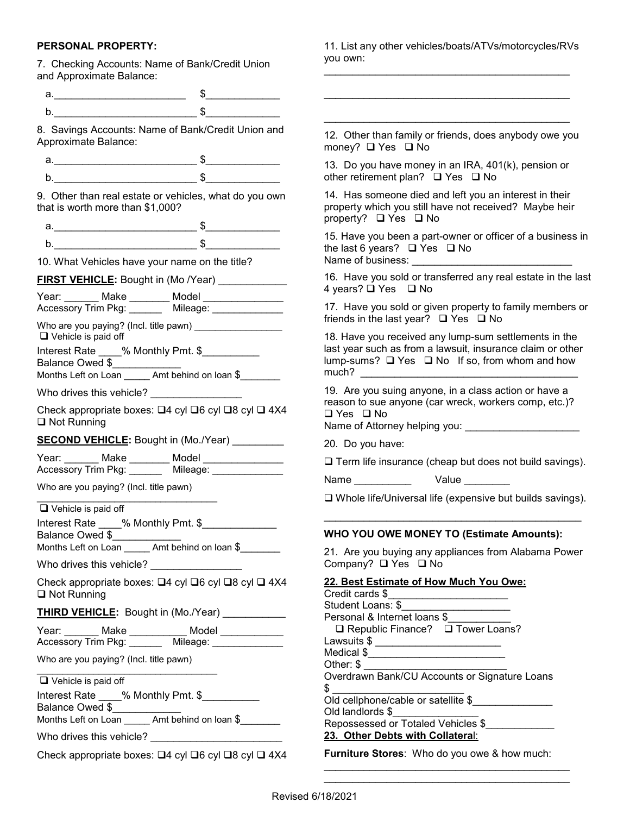## **PERSONAL PROPERTY:**

7. Checking Accounts: Name of Bank/Credit Union and Approximate Balance:

a.  $\overline{\phantom{a}}$ b.  $\qquad \qquad$  \$ 8. Savings Accounts: Name of Bank/Credit Union and Approximate Balance: a.  $\sim$   $\sim$   $\sim$   $\sim$   $\sim$ b.  $\qquad \qquad$   $\qquad$ 9. Other than real estate or vehicles, what do you own that is worth more than \$1,000? a.\_\_\_\_\_\_\_\_\_\_\_\_\_\_\_\_\_\_\_\_\_\_\_\_\_ \$\_\_\_\_\_\_\_\_\_\_\_\_\_ b.  $\frac{1}{2}$ 10. What Vehicles have your name on the title? **FIRST VEHICLE:** Bought in (Mo /Year) Year: \_\_\_\_\_\_ Make \_\_\_\_\_\_\_ Model \_\_\_\_\_\_\_\_\_\_\_\_\_\_ Accessory Trim Pkg: \_\_\_\_\_\_\_ Mileage: \_\_\_\_\_\_\_\_\_\_\_\_\_\_ Who are you paying? (Incl. title pawn)  $\Box$  Vehicle is paid off Interest Rate % Monthly Pmt. \$ Balance Owed \$\_\_\_\_\_\_\_\_\_\_\_\_ Months Left on Loan \_\_\_\_\_ Amt behind on loan \$\_\_\_\_\_\_\_\_ Who drives this vehicle? Check appropriate boxes:  $\Box 4$  cyl  $\Box 6$  cyl  $\Box 8$  cyl  $\Box 4X4$ **□ Not Running SECOND VEHICLE:** Bought in (Mo./Year) \_\_\_\_\_\_\_\_ Year: \_\_\_\_\_\_ Make \_\_\_\_\_\_ Model \_\_\_\_\_\_\_\_ Accessory Trim Pkg: \_\_\_\_\_\_\_ Mileage: \_\_\_\_\_\_\_\_\_\_\_\_\_ Who are you paying? (Incl. title pawn) \_\_\_\_\_\_\_\_\_\_\_\_\_\_\_\_\_\_\_\_\_\_\_\_\_\_\_\_\_\_\_\_\_\_\_ □ Vehicle is paid off Interest Rate \_\_\_\_% Monthly Pmt. \$\_\_\_\_\_\_\_\_\_\_\_\_\_\_ Balance Owed \$ Months Left on Loan Amt behind on loan \$ Who drives this vehicle? Check appropriate boxes:  $\Box 4$  cyl  $\Box 6$  cyl  $\Box 8$  cyl  $\Box 4X4$ **□ Not Running THIRD VEHICLE:** Bought in (Mo./Year) \_\_\_\_\_\_\_\_\_\_\_ Year: \_\_\_\_\_\_ Make \_\_\_\_\_\_\_\_ Model \_\_\_\_\_\_\_\_\_\_\_ Accessory Trim Pkg: \_\_\_\_\_\_ Mileage: \_\_\_\_\_\_\_\_\_\_\_\_\_ Who are you paying? (Incl. title pawn) \_\_\_\_\_\_\_\_\_\_\_\_\_\_\_\_\_\_\_\_\_\_\_\_\_\_\_\_\_\_\_\_\_\_\_ Vehicle is paid off Interest Rate \_\_\_\_% Monthly Pmt. \$\_\_\_\_\_\_\_\_\_\_ Balance Owed \$ Months Left on Loan Amt behind on loan \$ Who drives this vehicle? \_\_\_\_\_\_\_\_\_\_\_\_\_\_\_\_\_\_\_\_\_\_\_ Check appropriate boxes:  $\Box 4$  cyl  $\Box 6$  cyl  $\Box 8$  cyl  $\Box 4X4$ \_\_\_\_\_\_\_\_\_\_\_\_\_\_\_\_\_\_\_\_\_\_\_\_\_\_\_\_\_\_\_\_\_\_\_\_\_\_\_\_\_\_\_ \_\_\_\_\_\_\_\_\_\_\_\_\_\_\_\_\_\_\_\_\_\_\_\_\_\_\_\_\_\_\_\_\_\_\_\_\_\_\_\_\_\_\_ \_\_\_\_\_\_\_\_\_\_\_\_\_\_\_\_\_\_\_\_\_\_\_\_\_\_\_\_\_\_\_\_\_\_\_\_\_\_\_\_\_\_\_ 12. Other than family or friends, does anybody owe you money?  $\Box$  Yes  $\Box$  No 13. Do you have money in an IRA, 401(k), pension or other retirement plan?  $\Box$  Yes  $\Box$  No 14. Has someone died and left you an interest in their property which you still have not received? Maybe heir property?  $\Box$  Yes  $\Box$  No 15. Have you been a part-owner or officer of a business in the last 6 years?  $\Box$  Yes  $\Box$  No Name of business: 16. Have you sold or transferred any real estate in the last 4 years? **□** Yes □ No 17. Have you sold or given property to family members or friends in the last year?  $\Box$  Yes  $\Box$  No 18. Have you received any lump-sum settlements in the last year such as from a lawsuit, insurance claim or other lump-sums?  $\Box$  Yes  $\Box$  No If so, from whom and how much? \_\_\_\_\_\_\_\_\_\_\_\_\_\_\_\_\_\_\_\_\_\_\_\_\_\_\_\_\_\_\_\_\_\_\_\_\_\_ 19. Are you suing anyone, in a class action or have a reason to sue anyone (car wreck, workers comp, etc.)?  $\Box$  Yes  $\Box$  No Name of Attorney helping you: \_\_\_\_\_\_\_\_\_\_\_\_\_\_\_\_\_\_\_\_ 20. Do you have:  $\square$  Term life insurance (cheap but does not build savings). Name \_\_\_\_\_\_\_\_\_ Value \_\_\_\_\_\_\_\_ Whole life/Universal life (expensive but builds savings). \_\_\_\_\_\_\_\_\_\_\_\_\_\_\_\_\_\_\_\_\_\_\_\_\_\_\_\_\_\_\_\_\_\_\_\_\_\_\_\_\_\_\_\_\_ **WHO YOU OWE MONEY TO (Estimate Amounts):** 21. Are you buying any appliances from Alabama Power Company? □ Yes □ No **22. Best Estimate of How Much You Owe:** Credit cards \$\_\_\_\_\_\_\_\_\_\_\_\_\_\_\_\_\_\_\_\_\_ Student Loans: \$\_\_\_\_\_\_\_\_\_\_\_\_\_\_\_\_\_\_\_ Personal & Internet loans \$\_\_\_\_\_\_\_\_\_\_\_ □ Republic Finance? □ Tower Loans? Lawsuits \$ \_\_\_\_\_\_\_\_\_\_\_\_\_\_\_\_\_\_\_\_\_\_ Medical \$\_\_\_\_\_\_\_\_\_\_\_\_\_\_\_\_\_\_\_\_\_\_\_\_ Other:  $\frac{6}{2}$ Overdrawn Bank/CU Accounts or Signature Loans \$ \_\_\_\_\_\_\_\_\_\_\_\_\_\_\_\_\_\_\_\_\_\_\_ Old cellphone/cable or satellite \$\_\_\_\_\_\_\_\_\_\_\_\_\_\_ Old landlords \$ Repossessed or Totaled Vehicles \$\_\_\_\_\_\_\_\_\_\_\_\_ **23. Other Debts with Collatera**l: **Furniture Stores**: Who do you owe & how much:

you own:

11. List any other vehicles/boats/ATVs/motorcycles/RVs

\_\_\_\_\_\_\_\_\_\_\_\_\_\_\_\_\_\_\_\_\_\_\_\_\_\_\_\_\_\_\_\_\_\_\_\_\_\_\_\_\_\_\_ \_\_\_\_\_\_\_\_\_\_\_\_\_\_\_\_\_\_\_\_\_\_\_\_\_\_\_\_\_\_\_\_\_\_\_\_\_\_\_\_\_\_\_